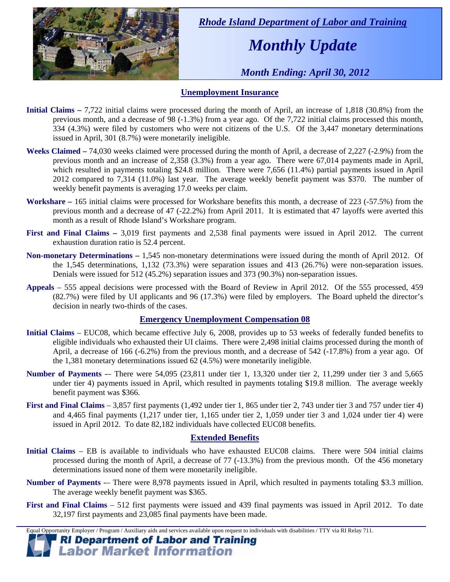

 *Rhode Island Department of Labor and Training* 

# *Monthly Update*

 *Month Ending: April 30, 2012* 

### **Unemployment Insurance**

- **Initial Claims** 7,722 initial claims were processed during the month of April, an increase of 1,818 (30.8%) from the previous month, and a decrease of 98 (-1.3%) from a year ago. Of the 7,722 initial claims processed this month, 334 (4.3%) were filed by customers who were not citizens of the U.S. Of the 3,447 monetary determinations issued in April, 301 (8.7%) were monetarily ineligible.
- **Weeks Claimed** 74,030 weeks claimed were processed during the month of April, a decrease of 2,227 (-2.9%) from the previous month and an increase of 2,358 (3.3%) from a year ago. There were 67,014 payments made in April, which resulted in payments totaling \$24.8 million. There were 7,656 (11.4%) partial payments issued in April 2012 compared to 7,314 (11.0%) last year. The average weekly benefit payment was \$370. The number of weekly benefit payments is averaging 17.0 weeks per claim.
- **Workshare –** 165 initial claims were processed for Workshare benefits this month, a decrease of 223 (-57.5%) from the previous month and a decrease of 47 (-22.2%) from April 2011. It is estimated that 47 layoffs were averted this month as a result of Rhode Island's Workshare program.
- **First and Final Claims –** 3,019 first payments and 2,538 final payments were issued in April 2012. The current exhaustion duration ratio is 52.4 percent.
- **Non-monetary Determinations –** 1,545 non-monetary determinations were issued during the month of April 2012. Of the 1,545 determinations, 1,132 (73.3%) were separation issues and 413 (26.7%) were non-separation issues. Denials were issued for 512 (45.2%) separation issues and 373 (90.3%) non-separation issues.
- **Appeals** 555 appeal decisions were processed with the Board of Review in April 2012. Of the 555 processed, 459 (82.7%) were filed by UI applicants and 96 (17.3%) were filed by employers. The Board upheld the director's decision in nearly two-thirds of the cases.

#### **Emergency Unemployment Compensation 08**

- **Initial Claims**  EUC08, which became effective July 6, 2008, provides up to 53 weeks of federally funded benefits to eligible individuals who exhausted their UI claims. There were 2,498 initial claims processed during the month of April, a decrease of 166 (-6.2%) from the previous month, and a decrease of 542 (-17.8%) from a year ago. Of the 1,381 monetary determinations issued  $62(4.5%)$  were monetarily ineligible.
- **Number of Payments** -– There were 54,095 (23,811 under tier 1, 13,320 under tier 2, 11,299 under tier 3 and 5,665 under tier 4) payments issued in April, which resulted in payments totaling \$19.8 million. The average weekly benefit payment was \$366.
- **First and Final Claims**  3,857 first payments (1,492 under tier 1, 865 under tier 2, 743 under tier 3 and 757 under tier 4) and 4,465 final payments (1,217 under tier, 1,165 under tier 2, 1,059 under tier 3 and 1,024 under tier 4) were issued in April 2012. To date 82,182 individuals have collected EUC08 benefits.

#### **Extended Benefits**

- **Initial Claims**  EB is available to individuals who have exhausted EUC08 claims. There were 504 initial claims processed during the month of April, a decrease of 77 (-13.3%) from the previous month. Of the 456 monetary determinations issued none of them were monetarily ineligible.
- **Number of Payments** -– There were 8,978 payments issued in April, which resulted in payments totaling \$3.3 million. The average weekly benefit payment was \$365.
- **First and Final Claims**  512 first payments were issued and 439 final payments was issued in April 2012. To date 32,197 first payments and 23,085 final payments have been made.

Equal Opportunity Employer / Program / Auxiliary aids and services available upon request to individuals with disabilities / TTY via RI Relay 711.

**RI Department of Labor and Training Labor Market Information**